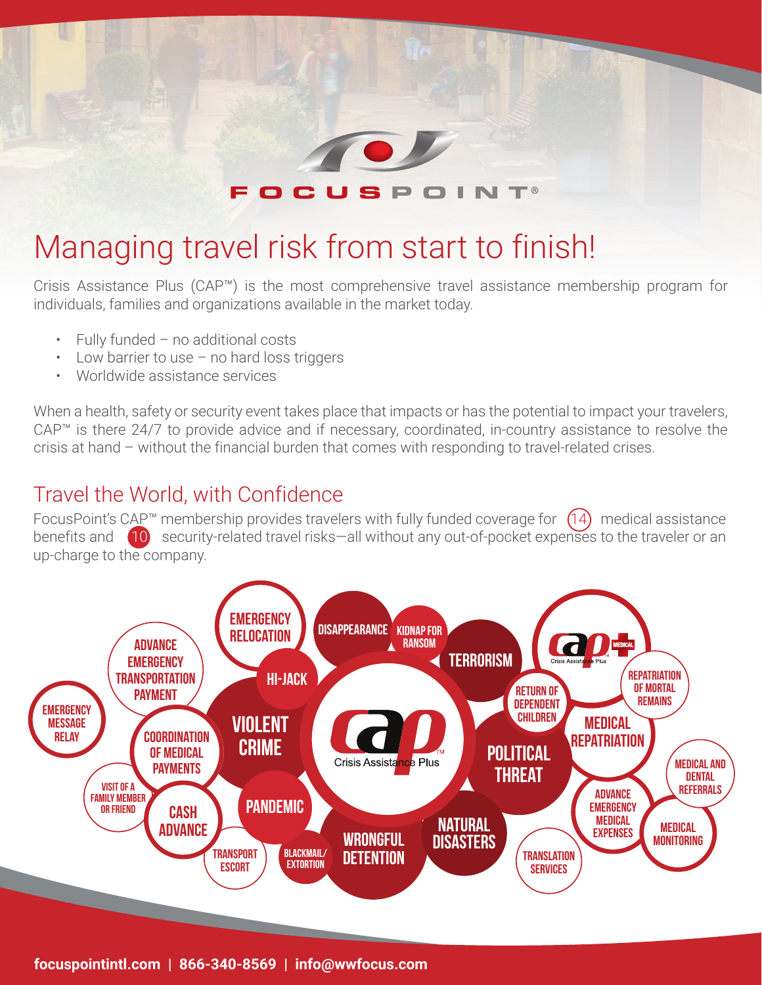

## Managing travel risk from start to finish!

Crisis Assistance Plus (CAP™) is the most comprehensive travel assistance membership program for individuals, families and organizations available in the market today.

- Fully funded no additional costs
- Low barrier to use no hard loss triggers
- Worldwide assistance services

When a health, safety or security event takes place that impacts or has the potential to impact your travelers, CAP™ is there 24/7 to provide advice and if necessary, coordinated, in-country assistance to resolve the crisis at hand – without the financial burden that comes with responding to travel-related crises.

#### Travel the World, with Confidence

FocusPoint's CAP<sup>™</sup> membership provides travelers with fully funded coverage for  $(14)$  medical assistance benefits and  $\left(10\right)$  security-related travel risks—all without any out-of-pocket expenses to the traveler or an up-charge to the company.

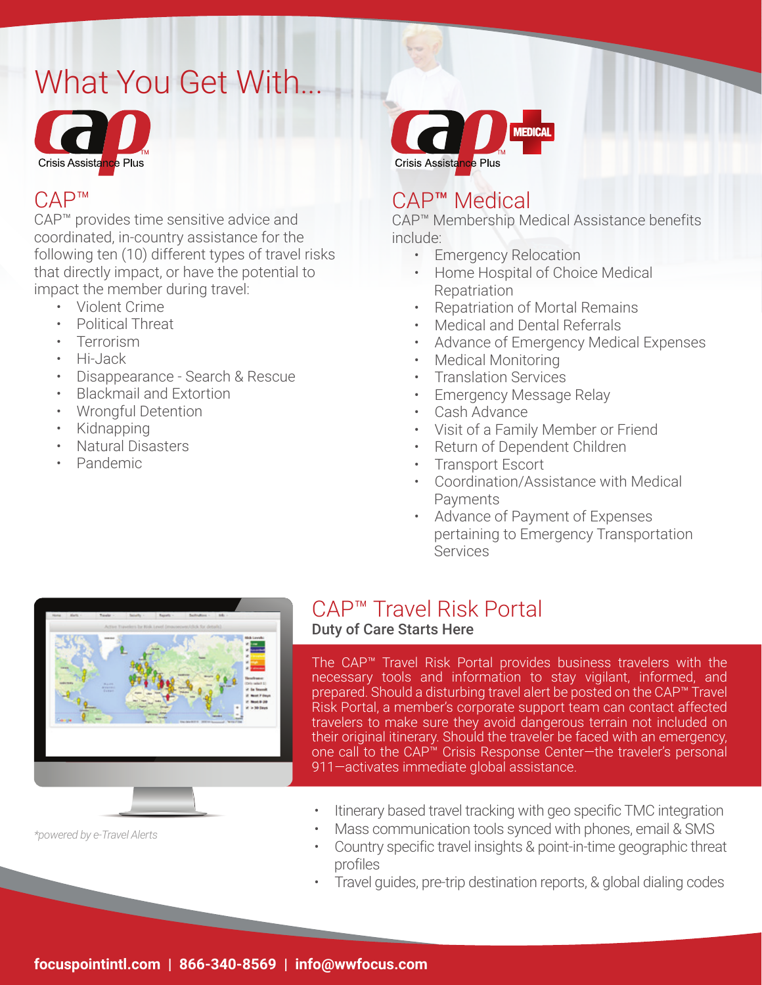# What You Get With...



#### CAP™

CAP™ provides time sensitive advice and coordinated, in-country assistance for the following ten (10) different types of travel risks that directly impact, or have the potential to impact the member during travel:

- Violent Crime
- Political Threat
- Terrorism
- Hi-Jack
- Disappearance Search & Rescue
- Blackmail and Extortion
- Wrongful Detention
- Kidnapping
- Natural Disasters
- Pandemic



#### CAP™ Medical

CAP™ Membership Medical Assistance benefits include:

- Emergency Relocation
- Home Hospital of Choice Medical Repatriation
- Repatriation of Mortal Remains
- Medical and Dental Referrals
- Advance of Emergency Medical Expenses
- Medical Monitoring
- Translation Services
- Emergency Message Relay
- Cash Advance
- Visit of a Family Member or Friend
- Return of Dependent Children
- Transport Escort
- Coordination/Assistance with Medical Payments
- Advance of Payment of Expenses pertaining to Emergency Transportation Services



### CAP™ Travel Risk Portal

#### Duty of Care Starts Here

The CAP™ Travel Risk Portal provides business travelers with the necessary tools and information to stay vigilant, informed, and prepared. Should a disturbing travel alert be posted on the CAP™ Travel Risk Portal, a member's corporate support team can contact affected travelers to make sure they avoid dangerous terrain not included on their original itinerary. Should the traveler be faced with an emergency, one call to the CAP™ Crisis Response Center—the traveler's personal 911—activates immediate global assistance.

- Itinerary based travel tracking with geo specific TMC integration
- Mass communication tools synced with phones, email & SMS
- Country specific travel insights & point-in-time geographic threat profiles
- Travel guides, pre-trip destination reports, & global dialing codes

*\*powered by e-Travel Alerts*